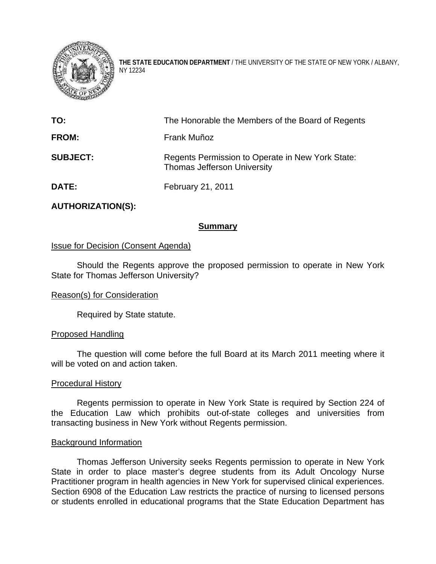

**THE STATE EDUCATION DEPARTMENT** / THE UNIVERSITY OF THE STATE OF NEW YORK / ALBANY, NY 12234

| TO:             | The Honorable the Members of the Board of Regents                                      |
|-----------------|----------------------------------------------------------------------------------------|
| <b>FROM:</b>    | Frank Muñoz                                                                            |
| <b>SUBJECT:</b> | Regents Permission to Operate in New York State:<br><b>Thomas Jefferson University</b> |
| DATE:           | <b>February 21, 2011</b>                                                               |

# **AUTHORIZATION(S):**

# **Summary**

# Issue for Decision (Consent Agenda)

Should the Regents approve the proposed permission to operate in New York State for Thomas Jefferson University?

### Reason(s) for Consideration

Required by State statute.

### Proposed Handling

The question will come before the full Board at its March 2011 meeting where it will be voted on and action taken.

#### Procedural History

Regents permission to operate in New York State is required by Section 224 of the Education Law which prohibits out-of-state colleges and universities from transacting business in New York without Regents permission.

#### Background Information

Thomas Jefferson University seeks Regents permission to operate in New York State in order to place master's degree students from its Adult Oncology Nurse Practitioner program in health agencies in New York for supervised clinical experiences. Section 6908 of the Education Law restricts the practice of nursing to licensed persons or students enrolled in educational programs that the State Education Department has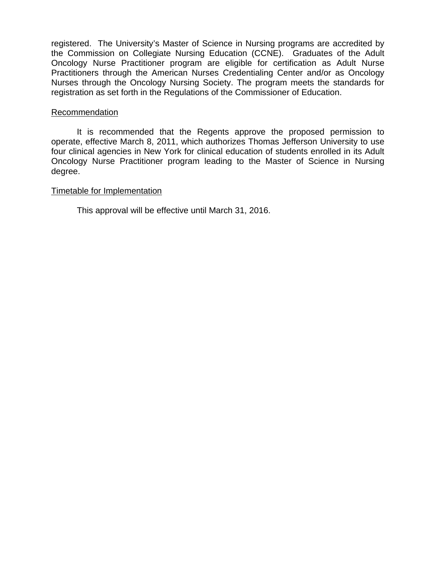registered. The University's Master of Science in Nursing programs are accredited by the Commission on Collegiate Nursing Education (CCNE). Graduates of the Adult Oncology Nurse Practitioner program are eligible for certification as Adult Nurse Practitioners through the American Nurses Credentialing Center and/or as Oncology Nurses through the Oncology Nursing Society. The program meets the standards for registration as set forth in the Regulations of the Commissioner of Education.

## Recommendation

It is recommended that the Regents approve the proposed permission to operate, effective March 8, 2011, which authorizes Thomas Jefferson University to use four clinical agencies in New York for clinical education of students enrolled in its Adult Oncology Nurse Practitioner program leading to the Master of Science in Nursing degree.

# Timetable for Implementation

This approval will be effective until March 31, 2016.